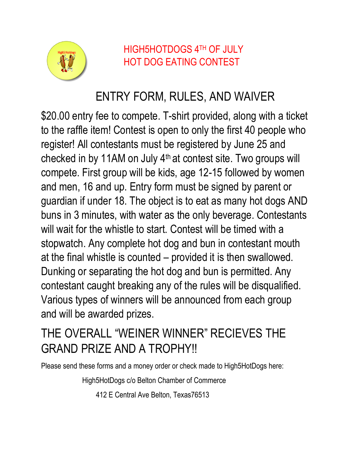

HIGH5HOTDOGS 4TH OF JULY HOT DOG EATING CONTEST

## ENTRY FORM, RULES, AND WAIVER

\$20.00 entry fee to compete. T-shirt provided, along with a ticket to the raffle item! Contest is open to only the first 40 people who register! All contestants must be registered by June 25 and checked in by 11AM on July 4th at contest site. Two groups will compete. First group will be kids, age 12-15 followed by women and men, 16 and up. Entry form must be signed by parent or guardian if under 18. The object is to eat as many hot dogs AND buns in 3 minutes, with water as the only beverage. Contestants will wait for the whistle to start. Contest will be timed with a stopwatch. Any complete hot dog and bun in contestant mouth at the final whistle is counted – provided it is then swallowed. Dunking or separating the hot dog and bun is permitted. Any contestant caught breaking any of the rules will be disqualified. Various types of winners will be announced from each group and will be awarded prizes.

## THE OVERALL "WEINER WINNER" RECIEVES THE GRAND PRIZE AND A TROPHY!!

Please send these forms and a money order or check made to High5HotDogs here:

High5HotDogs c/o Belton Chamber of Commerce

412 E Central Ave Belton, Texas76513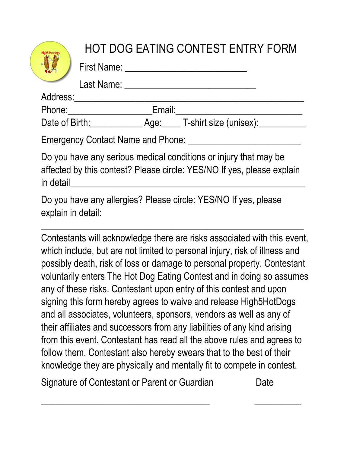|                                                                                                                                                         |               |  | <b>HOT DOG EATING CONTEST ENTRY FORM</b><br>First Name: The Contract of the Contract of the Contract of the Contract of the Contract of the Contract of the Contract of the Contract of the Contract of the Contract of the Contract of the Contract of the Contract of th |
|---------------------------------------------------------------------------------------------------------------------------------------------------------|---------------|--|----------------------------------------------------------------------------------------------------------------------------------------------------------------------------------------------------------------------------------------------------------------------------|
|                                                                                                                                                         |               |  | Last Name: The Contract of the Contract of the Contract of the Contract of the Contract of the Contract of the                                                                                                                                                             |
| Address:                                                                                                                                                | Phone: Email: |  |                                                                                                                                                                                                                                                                            |
| <b>Emergency Contact Name and Phone:</b>                                                                                                                |               |  |                                                                                                                                                                                                                                                                            |
| Do you have any serious medical conditions or injury that may be<br>affected by this contest? Please circle: YES/NO If yes, please explain<br>in detail |               |  |                                                                                                                                                                                                                                                                            |
| Do you have any allergies? Please circle: YES/NO If yes, please<br>explain in detail:                                                                   |               |  |                                                                                                                                                                                                                                                                            |

Contestants will acknowledge there are risks associated with this event, which include, but are not limited to personal injury, risk of illness and possibly death, risk of loss or damage to personal property. Contestant voluntarily enters The Hot Dog Eating Contest and in doing so assumes any of these risks. Contestant upon entry of this contest and upon signing this form hereby agrees to waive and release High5HotDogs and all associates, volunteers, sponsors, vendors as well as any of their affiliates and successors from any liabilities of any kind arising from this event. Contestant has read all the above rules and agrees to follow them. Contestant also hereby swears that to the best of their knowledge they are physically and mentally fit to compete in contest.

 $\overline{\phantom{a}}$  , and the contract of the contract of the contract of the contract of the contract of the contract of the contract of the contract of the contract of the contract of the contract of the contract of the contrac

Signature of Contestant or Parent or Guardian Date

 $\frac{1}{2}$  ,  $\frac{1}{2}$  ,  $\frac{1}{2}$  ,  $\frac{1}{2}$  ,  $\frac{1}{2}$  ,  $\frac{1}{2}$  ,  $\frac{1}{2}$  ,  $\frac{1}{2}$  ,  $\frac{1}{2}$  ,  $\frac{1}{2}$  ,  $\frac{1}{2}$  ,  $\frac{1}{2}$  ,  $\frac{1}{2}$  ,  $\frac{1}{2}$  ,  $\frac{1}{2}$  ,  $\frac{1}{2}$  ,  $\frac{1}{2}$  ,  $\frac{1}{2}$  ,  $\frac{1$